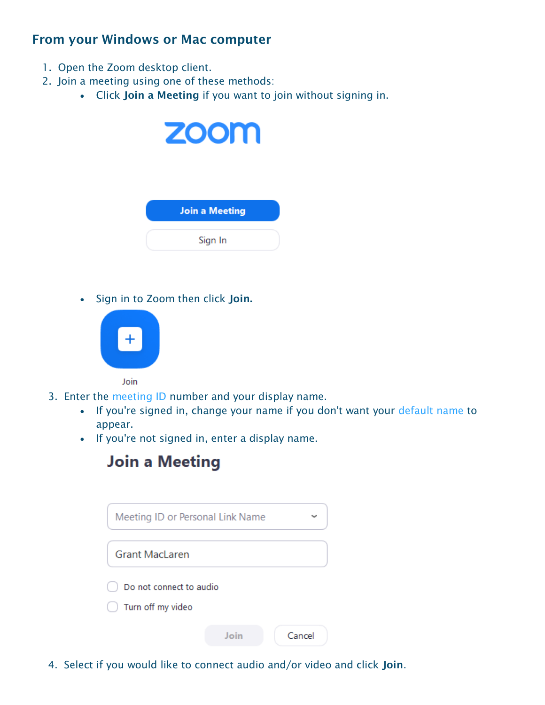#### **From your Windows or Mac computer**

- 1. Open the Zoom desktop client.
- 2. Join a meeting using one of these methods:
	- Click **Join a Meeting** if you want to join without signing in.



 $\bullet$  Sign in to Zoom then click **Join.** 



Join

- 3. Enter the [meeting ID](https://support.zoom.us/hc/en-us/articles/201362373-What-is-a-Meeting-ID-) number and your display name.
	- If you're signed in, change your name if you don't want your [default name](https://support.zoom.us/hc/en-us/articles/201363203) to appear.
	- If you're not signed in, enter a display name.



| Meeting ID or Personal Link Name             |      |        |
|----------------------------------------------|------|--------|
| <b>Grant MacLaren</b>                        |      |        |
| Do not connect to audio<br>Turn off my video |      |        |
|                                              | Join | Cancel |

4. Select if you would like to connect audio and/or video and click **Join**.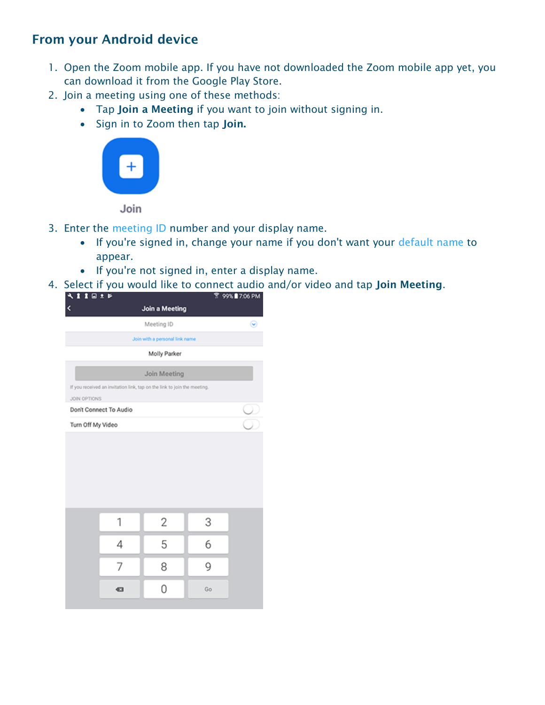## **From your Android device**

- 1. Open the Zoom mobile app. If you have not downloaded the Zoom mobile app yet, you can download it from the Google Play Store.
- 2. Join a meeting using one of these methods:
	- Tap **Join a Meeting** if you want to join without signing in.
	- Sign in to Zoom then tap **Join.**



Join

- 3. Enter the [meeting ID](https://support.zoom.us/hc/en-us/articles/201362373-What-is-a-Meeting-ID-) number and your display name.
	- If you're signed in, change your name if you don't want your [default name](https://support.zoom.us/hc/en-us/articles/201363203) to appear.
	- If you're not signed in, enter a display name.
- 4. Select if you would like to connect audio and/or video and tap **Join Meeting**.

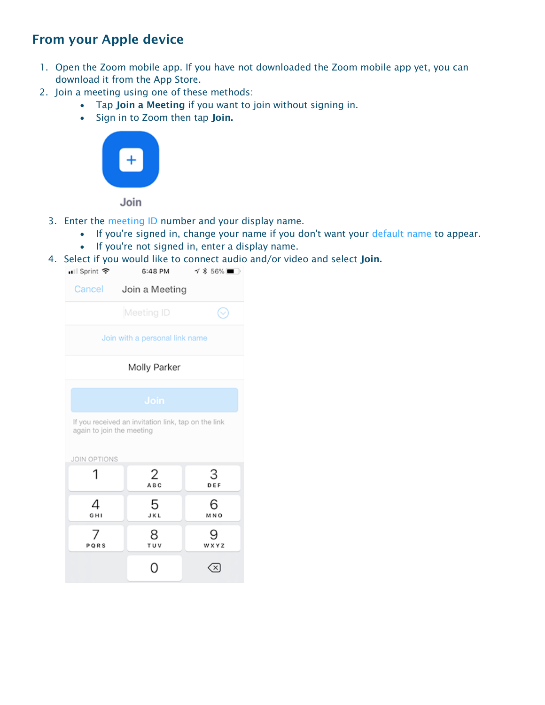# **From your Apple device**

- 1. Open the Zoom mobile app. If you have not downloaded the Zoom mobile app yet, you can download it from the App Store.
- 2. Join a meeting using one of these methods:
	- Tap **Join a Meeting** if you want to join without signing in.
	- Sign in to Zoom then tap **Join.**



Join

- 3. Enter the [meeting ID](https://support.zoom.us/hc/en-us/articles/201362373-What-is-a-Meeting-ID-) number and your display name.
	- If you're signed in, change your name if you don't want your [default name](https://support.zoom.us/hc/en-us/articles/201363203) to appear.
		- If you're not signed in, enter a display name.
- 4. Select if you would like to connect audio and/or video and select **Join.**

| •∎ll Sprint ক                                                                    | 6:48 PM        | <b>√ * 56%</b> ■ |  |
|----------------------------------------------------------------------------------|----------------|------------------|--|
| Cancel                                                                           | Join a Meeting |                  |  |
|                                                                                  | Meeting ID     |                  |  |
| Join with a personal link name                                                   |                |                  |  |
| Molly Parker                                                                     |                |                  |  |
| Join                                                                             |                |                  |  |
| If you received an invitation link, tap on the link<br>again to join the meeting |                |                  |  |
| <b>JOIN OPTIONS</b>                                                              |                |                  |  |
| 1                                                                                | 2<br>ABC       | З<br>DEF         |  |
| 4<br>GHI                                                                         | 5<br>JKL       | 6<br>MNO         |  |
| PQRS                                                                             | 8<br>TUV       | WXYZ             |  |
|                                                                                  |                |                  |  |